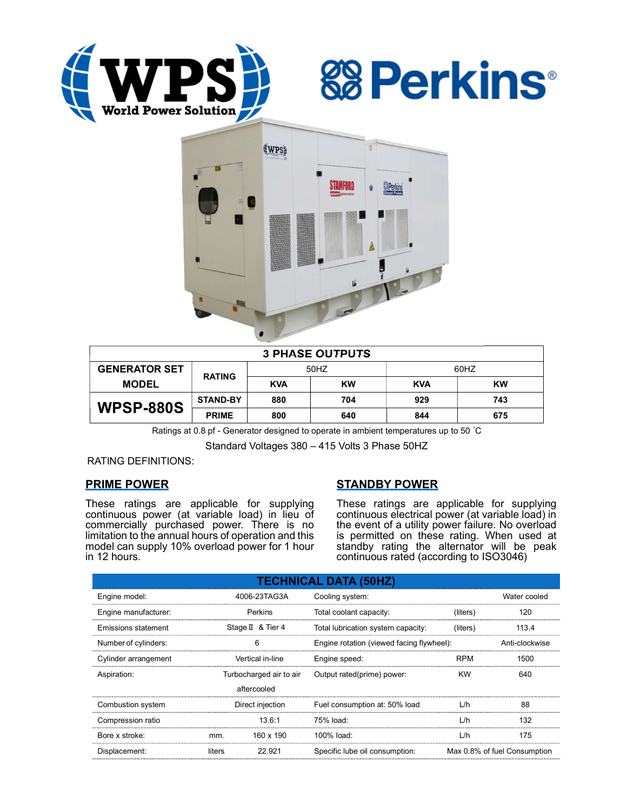





| <b>3 PHASE OUTPUTS</b> |                 |            |           |            |           |  |  |
|------------------------|-----------------|------------|-----------|------------|-----------|--|--|
| <b>GENERATOR SET</b>   | <b>RATING</b>   | 50HZ       |           | 60HZ       |           |  |  |
| <b>MODEL</b>           |                 | <b>KVA</b> | <b>KW</b> | <b>KVA</b> | <b>KW</b> |  |  |
| <b>WPSP-880S</b>       | <b>STAND-BY</b> | 880        | 704       | 929        | 743       |  |  |
|                        | <b>PRIME</b>    | 800        | 640       | 844        | 675       |  |  |

Ratings at 0.8 pf - Generator designed to operate in ambient temperatures up to 50 °C

Standard Voltages 380 – 415 Volts 3 Phase 50HZ

RATING DEFINITIONS:

# PRIME POWER

These ratings are applicable for supplying continuous power (at variable load) in lieu of commercially purchased power. There is no limitation to the annual hours of operation and this model can supply 10% overload power for 1 hour in 12 hours.

# STANDBY POWER

These ratings are applicable for supplying continuous electrical power (at variable load) in the event of a utility power failure. No overload is permitted on these rating. When used at standby rating the alternator will be peak continuous rated (according to ISO3046)

| <b>TECHNICAL DATA (50HZ)</b> |                         |                   |                                           |                              |                |  |  |
|------------------------------|-------------------------|-------------------|-------------------------------------------|------------------------------|----------------|--|--|
| Engine model:                | 4006-23TAG3A            |                   | Cooling system:                           | Water cooled                 |                |  |  |
| Engine manufacturer:         | Perkins                 |                   | Total coolant capacity:                   | (liters)                     | 120            |  |  |
| Emissions statement          |                         | Stage II & Tier 4 | Total lubrication system capacity:        | (liters)                     | 113.4          |  |  |
| Number of cylinders:         | 6                       |                   | Engine rotation (viewed facing flywheel): |                              | Anti-clockwise |  |  |
| Cylinder arrangement         | Vertical in-line        |                   | Engine speed:                             | <b>RPM</b>                   | 1500           |  |  |
| Aspiration:                  | Turbocharged air to air |                   | Output rated(prime) power:                | <b>KW</b>                    | 640            |  |  |
|                              |                         | aftercooled       |                                           |                              |                |  |  |
| Combustion system            | Direct injection        |                   | Fuel consumption at: 50% load             | L/h                          | 88             |  |  |
| Compression ratio            |                         | 13.6:1            | 75% load:                                 | L/h                          | 132            |  |  |
| Bore x stroke:               | mm.                     | 160 x 190         | 100% load:                                | L/h                          | 175            |  |  |
| Displacement:                | 22.921<br>liters        |                   | Specific lube oil consumption:            | Max 0.8% of fuel Consumption |                |  |  |